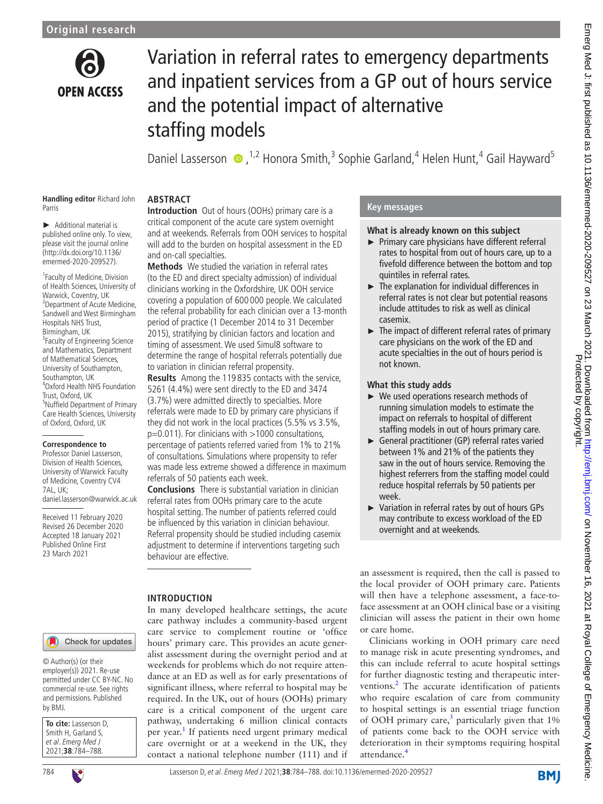

# Variation in referral rates to emergency departments and inpatient services from a GP out of hours service and the potential impact of alternative staffing models

DanielLasserson  $\bullet$ ,<sup>1,2</sup> Honora Smith,<sup>3</sup> Sophie Garland,<sup>4</sup> Helen Hunt,<sup>4</sup> Gail Hayward<sup>5</sup>

#### **Handling editor** Richard John Parris

► Additional material is published online only. To view, please visit the journal online [\(http://dx.doi.org/10.1136/](http://dx.doi.org/10.1136/emermed-2020-209527) [emermed-2020-209527](http://dx.doi.org/10.1136/emermed-2020-209527)).

1 Faculty of Medicine, Division of Health Sciences, University of Warwick, Coventry, UK 2 Department of Acute Medicine, Sandwell and West Birmingham Hospitals NHS Trust, Birmingham, UK 3 Faculty of Engineering Science and Mathematics, Department of Mathematical Sciences, University of Southampton, Southampton, UK 4 Oxford Health NHS Foundation Trust, Oxford, UK 5 Nuffield Department of Primary Care Health Sciences, University of Oxford, Oxford, UK

#### **Correspondence to**

Professor Daniel Lasserson, Division of Health Sciences, University of Warwick Faculty of Medicine, Coventry CV4 7AL, UK; daniel.lasserson@warwick.ac.uk

Received 11 February 2020 Revised 26 December 2020 Accepted 18 January 2021 Published Online First 23 March 2021

# **ABSTRACT**

**Introduction** Out of hours (OOHs) primary care is a critical component of the acute care system overnight and at weekends. Referrals from OOH services to hospital will add to the burden on hospital assessment in the ED and on-call specialties.

**Methods** We studied the variation in referral rates (to the ED and direct specialty admission) of individual clinicians working in the Oxfordshire, UK OOH service covering a population of 600 000 people. We calculated the referral probability for each clinician over a 13-month period of practice (1 December 2014 to 31 December 2015), stratifying by clinician factors and location and timing of assessment. We used Simul8 software to determine the range of hospital referrals potentially due to variation in clinician referral propensity.

**Results** Among the 119 835 contacts with the service, 5261 (4.4%) were sent directly to the ED and 3474 (3.7%) were admitted directly to specialties. More referrals were made to ED by primary care physicians if they did not work in the local practices (5.5% vs 3.5%,  $p=0.011$ ). For clinicians with  $>1000$  consultations, percentage of patients referred varied from 1% to 21% of consultations. Simulations where propensity to refer was made less extreme showed a difference in maximum referrals of 50 patients each week.

**Conclusions** There is substantial variation in clinician referral rates from OOHs primary care to the acute hospital setting. The number of patients referred could be influenced by this variation in clinician behaviour. Referral propensity should be studied including casemix adjustment to determine if interventions targeting such behaviour are effective.

# **INTRODUCTION**

In many developed healthcare settings, the acute care pathway includes a community-based urgent care service to complement routine or 'office hours' primary care. This provides an acute generalist assessment during the overnight period and at weekends for problems which do not require attendance at an ED as well as for early presentations of significant illness, where referral to hospital may be required. In the UK, out of hours (OOHs) primary care is a critical component of the urgent care pathway, undertaking 6 million clinical contacts per year.<sup>[1](#page-4-0)</sup> If patients need urgent primary medical care overnight or at a weekend in the UK, they contact a national telephone number (111) and if

# **Key messages**

## **What is already known on this subject**

- ► Primary care physicians have different referral rates to hospital from out of hours care, up to a fivefold difference between the bottom and top quintiles in referral rates.
- ► The explanation for individual differences in referral rates is not clear but potential reasons include attitudes to risk as well as clinical casemix.
- ► The impact of different referral rates of primary care physicians on the work of the ED and acute specialties in the out of hours period is not known.

# **What this study adds**

- ► We used operations research methods of running simulation models to estimate the impact on referrals to hospital of different staffing models in out of hours primary care.
- ► General practitioner (GP) referral rates varied between 1% and 21% of the patients they saw in the out of hours service. Removing the highest referrers from the staffing model could reduce hospital referrals by 50 patients per week.
- ► Variation in referral rates by out of hours GPs may contribute to excess workload of the ED overnight and at weekends.

an assessment is required, then the call is passed to the local provider of OOH primary care. Patients will then have a telephone assessment, a face-toface assessment at an OOH clinical base or a visiting clinician will assess the patient in their own home or care home.

Clinicians working in OOH primary care need to manage risk in acute presenting syndromes, and this can include referral to acute hospital settings for further diagnostic testing and therapeutic inter-ventions.<sup>[2](#page-4-1)</sup> The accurate identification of patients who require escalation of care from community to hospital settings is an essential triage function of OOH primary care, $3$  particularly given that  $1\%$ of patients come back to the OOH service with deterioration in their symptoms requiring hospital attendance.

# Check for updates

© Author(s) (or their employer(s)) 2021. Re-use permitted under CC BY-NC. No commercial re-use. See rights and permissions. Published by BMJ.

| To cite: Lasserson D,<br>Smith H, Garland S, |
|----------------------------------------------|
|                                              |
| et al. Emerg Med J                           |
| 2021;38:784-788.                             |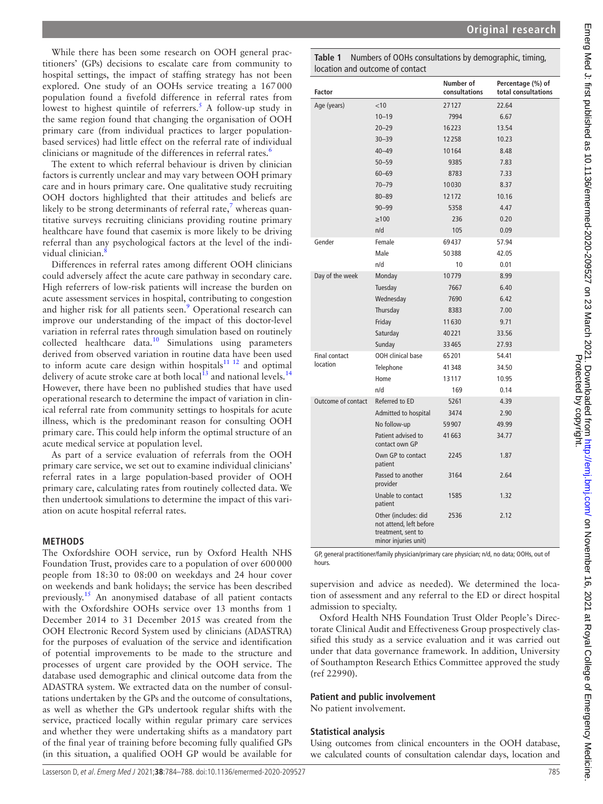While there has been some research on OOH general practitioners' (GPs) decisions to escalate care from community to hospital settings, the impact of staffing strategy has not been explored. One study of an OOHs service treating a 167000 population found a fivefold difference in referral rates from lowest to highest quintile of referrers.<sup>[5](#page-4-4)</sup> A follow-up study in the same region found that changing the organisation of OOH primary care (from individual practices to larger populationbased services) had little effect on the referral rate of individual clinicians or magnitude of the differences in referral rates.<sup>6</sup>

The extent to which referral behaviour is driven by clinician factors is currently unclear and may vary between OOH primary care and in hours primary care. One qualitative study recruiting OOH doctors highlighted that their attitudes and beliefs are likely to be strong determinants of referral rate, $^7$  $^7$  whereas quantitative surveys recruiting clinicians providing routine primary healthcare have found that casemix is more likely to be driving referral than any psychological factors at the level of the indi-vidual clinician.<sup>[8](#page-4-7)</sup>

Differences in referral rates among different OOH clinicians could adversely affect the acute care pathway in secondary care. High referrers of low-risk patients will increase the burden on acute assessment services in hospital, contributing to congestion and higher risk for all patients seen.<sup>[9](#page-4-8)</sup> Operational research can improve our understanding of the impact of this doctor-level variation in referral rates through simulation based on routinely collected healthcare data.<sup>[10](#page-4-9)</sup> Simulations using parameters derived from observed variation in routine data have been used to inform acute care design within hospitals $11$   $12$  and optimal delivery of acute stroke care at both local<sup>13</sup> and national levels.<sup>[14](#page-4-12)</sup> However, there have been no published studies that have used operational research to determine the impact of variation in clinical referral rate from community settings to hospitals for acute illness, which is the predominant reason for consulting OOH primary care. This could help inform the optimal structure of an acute medical service at population level.

As part of a service evaluation of referrals from the OOH primary care service, we set out to examine individual clinicians' referral rates in a large population-based provider of OOH primary care, calculating rates from routinely collected data. We then undertook simulations to determine the impact of this variation on acute hospital referral rates.

# **METHODS**

The Oxfordshire OOH service, run by Oxford Health NHS Foundation Trust, provides care to a population of over 600000 people from 18:30 to 08:00 on weekdays and 24 hour cover on weekends and bank holidays; the service has been described previously[.15](#page-4-13) An anonymised database of all patient contacts with the Oxfordshire OOHs service over 13 months from 1 December 2014 to 31 December 2015 was created from the OOH Electronic Record System used by clinicians (ADASTRA) for the purposes of evaluation of the service and identification of potential improvements to be made to the structure and processes of urgent care provided by the OOH service. The database used demographic and clinical outcome data from the ADASTRA system. We extracted data on the number of consultations undertaken by the GPs and the outcome of consultations, as well as whether the GPs undertook regular shifts with the service, practiced locally within regular primary care services and whether they were undertaking shifts as a mandatory part of the final year of training before becoming fully qualified GPs (in this situation, a qualified OOH GP would be available for

<span id="page-1-0"></span>

| Table 1 Numbers of OOHs consultations by demographic, timing, |
|---------------------------------------------------------------|
| location and outcome of contact                               |

| <b>Factor</b>      |                                                                                               | Number of<br>consultations | Percentage (%) of<br>total consultations |
|--------------------|-----------------------------------------------------------------------------------------------|----------------------------|------------------------------------------|
| Age (years)        | $<$ 10                                                                                        | 27127                      | 22.64                                    |
|                    | $10 - 19$                                                                                     | 7994                       | 6.67                                     |
|                    | $20 - 29$                                                                                     | 16223                      | 13.54                                    |
|                    | $30 - 39$                                                                                     | 12258                      | 10.23                                    |
|                    | $40 - 49$                                                                                     | 10164                      | 8.48                                     |
|                    | $50 - 59$                                                                                     | 9385                       | 7.83                                     |
|                    | $60 - 69$                                                                                     | 8783                       | 7.33                                     |
|                    | $70 - 79$                                                                                     | 10030                      | 8.37                                     |
|                    | $80 - 89$                                                                                     | 12172                      | 10.16                                    |
|                    | $90 - 99$                                                                                     | 5358                       | 4.47                                     |
|                    | $\geq 100$                                                                                    | 236                        | 0.20                                     |
|                    | n/d                                                                                           | 105                        | 0.09                                     |
| Gender             | Female                                                                                        | 69437                      | 57.94                                    |
|                    | Male                                                                                          | 50388                      | 42.05                                    |
|                    | n/d                                                                                           | 10                         | 0.01                                     |
| Day of the week    | Monday                                                                                        | 10779                      | 8.99                                     |
|                    | Tuesday                                                                                       | 7667                       | 6.40                                     |
|                    | Wednesday                                                                                     | 7690                       | 6.42                                     |
|                    | Thursday                                                                                      | 8383                       | 7.00                                     |
|                    | Friday                                                                                        | 11630                      | 9.71                                     |
|                    | Saturday                                                                                      | 40221                      | 33.56                                    |
|                    | Sunday                                                                                        | 33465                      | 27.93                                    |
| Final contact      | OOH clinical base                                                                             | 65201                      | 54.41                                    |
| location           | Telephone                                                                                     | 41348                      | 34.50                                    |
|                    | Home                                                                                          | 13117                      | 10.95                                    |
|                    | n/d                                                                                           | 169                        | 0.14                                     |
| Outcome of contact | Referred to ED                                                                                | 5261                       | 4.39                                     |
|                    | Admitted to hospital                                                                          | 3474                       | 2.90                                     |
|                    | No follow-up                                                                                  | 59907                      | 49.99                                    |
|                    | Patient advised to<br>contact own GP                                                          | 41 663                     | 34.77                                    |
|                    | Own GP to contact<br>patient                                                                  | 2245                       | 1.87                                     |
|                    | Passed to another<br>provider                                                                 | 3164                       | 2.64                                     |
|                    | Unable to contact<br>patient                                                                  | 1585                       | 1.32                                     |
|                    | Other (includes: did<br>not attend, left before<br>treatment, sent to<br>minor injuries unit) | 2536                       | 2.12                                     |

GP, general practitioner/family physician/primary care physician; n/d, no data; OOHs, out of hours.

supervision and advice as needed). We determined the location of assessment and any referral to the ED or direct hospital admission to specialty.

Oxford Health NHS Foundation Trust Older People's Directorate Clinical Audit and Effectiveness Group prospectively classified this study as a service evaluation and it was carried out under that data governance framework. In addition, University of Southampton Research Ethics Committee approved the study (ref 22990).

## **Patient and public involvement**

No patient involvement.

## **Statistical analysis**

Using outcomes from clinical encounters in the OOH database, we calculated counts of consultation calendar days, location and Protected by copyright.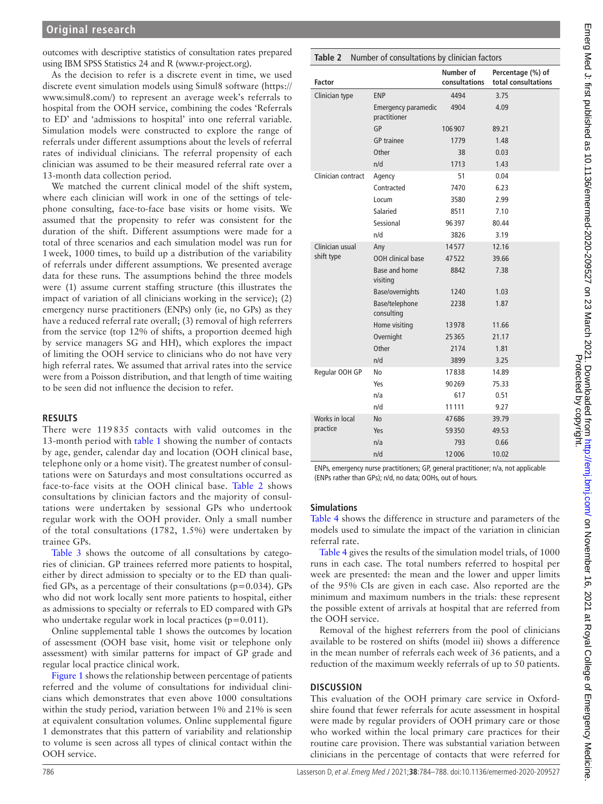outcomes with descriptive statistics of consultation rates prepared using IBM SPSS Statistics 24 and R [\(www.r-project.org\)](www.r-project.org).

As the decision to refer is a discrete event in time, we used discrete event simulation models using Simul8 software [\(https://](https://www.simul8.com/) [www.simul8.com/](https://www.simul8.com/)) to represent an average week's referrals to hospital from the OOH service, combining the codes 'Referrals to ED' and 'admissions to hospital' into one referral variable. Simulation models were constructed to explore the range of referrals under different assumptions about the levels of referral rates of individual clinicians. The referral propensity of each clinician was assumed to be their measured referral rate over a 13-month data collection period.

We matched the current clinical model of the shift system, where each clinician will work in one of the settings of telephone consulting, face-to-face base visits or home visits. We assumed that the propensity to refer was consistent for the duration of the shift. Different assumptions were made for a total of three scenarios and each simulation model was run for 1week, 1000 times, to build up a distribution of the variability of referrals under different assumptions. We presented average data for these runs. The assumptions behind the three models were (1) assume current staffing structure (this illustrates the impact of variation of all clinicians working in the service); (2) emergency nurse practitioners (ENPs) only (ie, no GPs) as they have a reduced referral rate overall; (3) removal of high referrers from the service (top 12% of shifts, a proportion deemed high by service managers SG and HH), which explores the impact of limiting the OOH service to clinicians who do not have very high referral rates. We assumed that arrival rates into the service were from a Poisson distribution, and that length of time waiting to be seen did not influence the decision to refer.

#### **RESULTS**

There were 119 835 contacts with valid outcomes in the 13-month period with [table](#page-1-0) 1 showing the number of contacts by age, gender, calendar day and location (OOH clinical base, telephone only or a home visit). The greatest number of consultations were on Saturdays and most consultations occurred as face-to-face visits at the OOH clinical base. [Table](#page-2-0) 2 shows consultations by clinician factors and the majority of consultations were undertaken by sessional GPs who undertook regular work with the OOH provider. Only a small number of the total consultations (1782, 1.5%) were undertaken by trainee GPs.

[Table](#page-3-0) 3 shows the outcome of all consultations by categories of clinician. GP trainees referred more patients to hospital, either by direct admission to specialty or to the ED than qualified GPs, as a percentage of their consultations ( $p=0.034$ ). GPs who did not work locally sent more patients to hospital, either as admissions to specialty or referrals to ED compared with GPs who undertake regular work in local practices ( $p=0.011$ ).

[Online supplemental table 1](https://dx.doi.org/10.1136/emermed-2020-209527) shows the outcomes by location of assessment (OOH base visit, home visit or telephone only assessment) with similar patterns for impact of GP grade and regular local practice clinical work.

[Figure](#page-3-1) 1 shows the relationship between percentage of patients referred and the volume of consultations for individual clinicians which demonstrates that even above 1000 consultations within the study period, variation between 1% and 21% is seen at equivalent consultation volumes. [Online supplemental figure](https://dx.doi.org/10.1136/emermed-2020-209527)  [1](https://dx.doi.org/10.1136/emermed-2020-209527) demonstrates that this pattern of variability and relationship to volume is seen across all types of clinical contact within the OOH service.

# <span id="page-2-0"></span>**Table 2** Number of consultations by clinician factors

| <b>Factor</b>      |                                     | Number of<br>consultations | Percentage (%) of<br>total consultations |
|--------------------|-------------------------------------|----------------------------|------------------------------------------|
| Clinician type     | <b>ENP</b>                          | 4494                       | 3.75                                     |
|                    | Emergency paramedic<br>practitioner | 4904                       | 4.09                                     |
|                    | GP                                  | 106907                     | 89.21                                    |
|                    | <b>GP</b> trainee                   | 1779                       | 1.48                                     |
|                    | Other                               | 38                         | 0.03                                     |
|                    | n/d                                 | 1713                       | 1.43                                     |
| Clinician contract | Agency                              | 51                         | 0.04                                     |
|                    | Contracted                          | 7470                       | 6.23                                     |
|                    | Locum                               | 3580                       | 2.99                                     |
|                    | Salaried                            | 8511                       | 7.10                                     |
|                    | Sessional                           | 96397                      | 80.44                                    |
|                    | n/d                                 | 3826                       | 3.19                                     |
| Clinician usual    | Any                                 | 14577                      | 12.16                                    |
| shift type         | OOH clinical base                   | 47522                      | 39.66                                    |
|                    | Base and home<br>visiting           | 8842                       | 7.38                                     |
|                    | Base/overnights                     | 1240                       | 1.03                                     |
|                    | Base/telephone<br>consulting        | 2238                       | 1.87                                     |
|                    | Home visiting                       | 13978                      | 11.66                                    |
|                    | Overnight                           | 25365                      | 21.17                                    |
|                    | Other                               | 2174                       | 1.81                                     |
|                    | n/d                                 | 3899                       | 3.25                                     |
| Regular OOH GP     | No                                  | 17838                      | 14.89                                    |
|                    | Yes                                 | 90269                      | 75.33                                    |
|                    | n/a                                 | 617                        | 0.51                                     |
|                    | n/d                                 | 11 1 11                    | 9.27                                     |
| Works in local     | <b>No</b>                           | 47686                      | 39.79                                    |
| practice           | Yes                                 | 59350                      | 49.53                                    |
|                    | n/a                                 | 793                        | 0.66                                     |
|                    | n/d                                 | 12006                      | 10.02                                    |

ENPs, emergency nurse practitioners; GP, general practitioner; n/a, not applicable (ENPs rather than GPs); n/d, no data; OOHs, out of hours.

# **Simulations**

[Table](#page-3-2) 4 shows the difference in structure and parameters of the models used to simulate the impact of the variation in clinician referral rate.

[Table](#page-3-2) 4 gives the results of the simulation model trials, of 1000 runs in each case. The total numbers referred to hospital per week are presented: the mean and the lower and upper limits of the 95% CIs are given in each case. Also reported are the minimum and maximum numbers in the trials: these represent the possible extent of arrivals at hospital that are referred from the OOH service.

Removal of the highest referrers from the pool of clinicians available to be rostered on shifts (model iii) shows a difference in the mean number of referrals each week of 36 patients, and a reduction of the maximum weekly referrals of up to 50 patients.

# **DISCUSSION**

This evaluation of the OOH primary care service in Oxfordshire found that fewer referrals for acute assessment in hospital were made by regular providers of OOH primary care or those who worked within the local primary care practices for their routine care provision. There was substantial variation between clinicians in the percentage of contacts that were referred for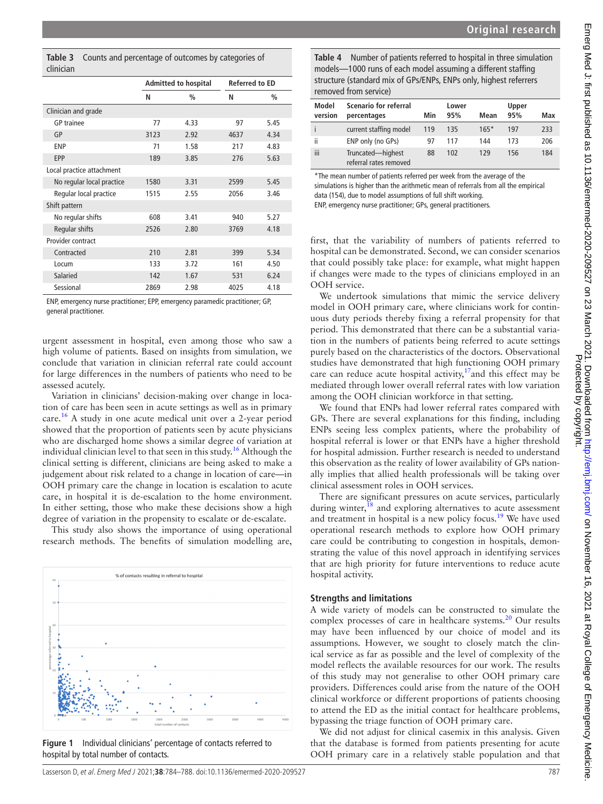<span id="page-3-0"></span>

|           | <b>Table 3</b> Counts and percentage of outcomes by categories of |
|-----------|-------------------------------------------------------------------|
| clinician |                                                                   |

|                           | <b>Admitted to hospital</b> |      | <b>Referred to ED</b> |      |
|---------------------------|-----------------------------|------|-----------------------|------|
|                           | N                           | $\%$ | N                     | $\%$ |
| Clinician and grade       |                             |      |                       |      |
| <b>GP</b> trainee         | 77                          | 4.33 | 97                    | 5.45 |
| GP                        | 3123                        | 2.92 | 4637                  | 4.34 |
| <b>FNP</b>                | 71                          | 1.58 | 217                   | 4.83 |
| EPP                       | 189                         | 3.85 | 276                   | 5.63 |
| Local practice attachment |                             |      |                       |      |
| No regular local practice | 1580                        | 3.31 | 2599                  | 5.45 |
| Regular local practice    | 1515                        | 2.55 | 2056                  | 3.46 |
| Shift pattern             |                             |      |                       |      |
| No regular shifts         | 608                         | 3.41 | 940                   | 5.27 |
| Regular shifts            | 2526                        | 2.80 | 3769                  | 4.18 |
| Provider contract         |                             |      |                       |      |
| Contracted                | 210                         | 2.81 | 399                   | 5.34 |
| Locum                     | 133                         | 3.72 | 161                   | 4.50 |
| Salaried                  | 142                         | 1.67 | 531                   | 6.24 |
| Sessional                 | 2869                        | 2.98 | 4025                  | 4.18 |

ENP, emergency nurse practitioner; EPP, emergency paramedic practitioner; GP, general practitioner.

urgent assessment in hospital, even among those who saw a high volume of patients. Based on insights from simulation, we conclude that variation in clinician referral rate could account for large differences in the numbers of patients who need to be assessed acutely.

Variation in clinicians' decision-making over change in location of care has been seen in acute settings as well as in primary care[.16](#page-4-14) A study in one acute medical unit over a 2-year period showed that the proportion of patients seen by acute physicians who are discharged home shows a similar degree of variation at individual clinician level to that seen in this study.<sup>16</sup> Although the clinical setting is different, clinicians are being asked to make a judgement about risk related to a change in location of care—in OOH primary care the change in location is escalation to acute care, in hospital it is de-escalation to the home environment. In either setting, those who make these decisions show a high degree of variation in the propensity to escalate or de-escalate.

This study also shows the importance of using operational research methods. The benefits of simulation modelling are,



<span id="page-3-1"></span>**Figure 1** Individual clinicians' percentage of contacts referred to hospital by total number of contacts.

| MUREI<br>version | <b>JUCHALIU IUI ICICIIAI</b><br>percentages | Min | LUWCI<br>95% | Mean   | <b>UPPCI</b><br>95% | Max |
|------------------|---------------------------------------------|-----|--------------|--------|---------------------|-----|
|                  | current staffing model                      | 119 | 135          | $165*$ | 197                 | 233 |
| ii               | ENP only (no GPs)                           | 97  | 117          | 144    | 173                 | 206 |
| iii              | Truncated-highest<br>referral rates removed | 88  | 102          | 129    | 156                 | 184 |

<span id="page-3-2"></span>**Table 4** Number of patients referred to hospital in three simulation models—1000 runs of each model assuming a different staffing

\*The mean number of patients referred per week from the average of the simulations is higher than the arithmetic mean of referrals from all the empirical data (154), due to model assumptions of full shift working. ENP, emergency nurse practitioner; GPs, general practitioners.

first, that the variability of numbers of patients referred to hospital can be demonstrated. Second, we can consider scenarios that could possibly take place: for example, what might happen if changes were made to the types of clinicians employed in an OOH service.

We undertook simulations that mimic the service delivery model in OOH primary care, where clinicians work for continuous duty periods thereby fixing a referral propensity for that period. This demonstrated that there can be a substantial variation in the numbers of patients being referred to acute settings purely based on the characteristics of the doctors. Observational studies have demonstrated that high functioning OOH primary care can reduce acute hospital activity, $17$  and this effect may be mediated through lower overall referral rates with low variation among the OOH clinician workforce in that setting.

We found that ENPs had lower referral rates compared with GPs. There are several explanations for this finding, including ENPs seeing less complex patients, where the probability of hospital referral is lower or that ENPs have a higher threshold for hospital admission. Further research is needed to understand this observation as the reality of lower availability of GPs nationally implies that allied health professionals will be taking over clinical assessment roles in OOH services.

There are significant pressures on acute services, particularly during winter, $^{18}$  and exploring alternatives to acute assessment and treatment in hospital is a new policy focus.<sup>19</sup> We have used operational research methods to explore how OOH primary care could be contributing to congestion in hospitals, demonstrating the value of this novel approach in identifying services that are high priority for future interventions to reduce acute hospital activity.

## **Strengths and limitations**

A wide variety of models can be constructed to simulate the complex processes of care in healthcare systems.<sup>20</sup> Our results may have been influenced by our choice of model and its assumptions. However, we sought to closely match the clinical service as far as possible and the level of complexity of the model reflects the available resources for our work. The results of this study may not generalise to other OOH primary care providers. Differences could arise from the nature of the OOH clinical workforce or different proportions of patients choosing to attend the ED as the initial contact for healthcare problems, bypassing the triage function of OOH primary care.

We did not adjust for clinical casemix in this analysis. Given that the database is formed from patients presenting for acute OOH primary care in a relatively stable population and that